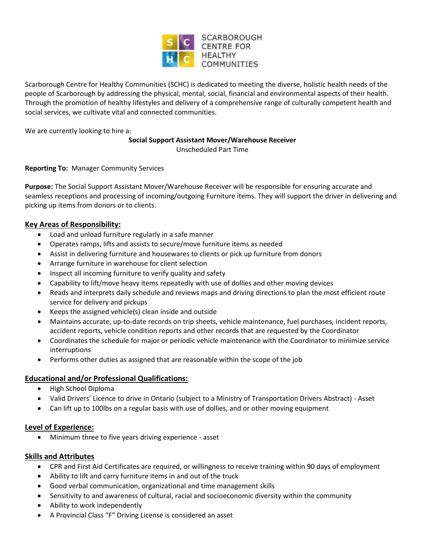

Scarborough Centre for Healthy Communities (SCHC) is dedicated to meeting the diverse, holistic health needs of the people of Scarborough by addressing the physical, mental, social, financial and environmental aspects of their health. Through the promotion of healthy lifestyles and delivery of a comprehensive range of culturally competent health and social services, we cultivate vital and connected communities.

We are currently looking to hire a:

#### **Social Support Assistant Mover/Warehouse Receiver**

Unscheduled Part Time

# **Reporting To:** Manager Community Services

**Purpose:** The Social Support Assistant Mover/Warehouse Receiver will be responsible for ensuring accurate and seamless receptions and processing of incoming/outgoing Furniture items. They will support the driver in delivering and picking up items from donors or to clients.

# **Key Areas of Responsibility:**

- Load and unload furniture regularly in a safe manner
- Operates ramps, lifts and assists to secure/move furniture items as needed
- Assist in delivering furniture and housewares to clients or pick up furniture from donors
- Arrange furniture in warehouse for client selection
- Inspect all incoming furniture to verify quality and safety
- Capability to lift/move heavy items repeatedly with use of dollies and other moving devices
- Reads and interprets daily schedule and reviews maps and driving directions to plan the most efficient route service for delivery and pickups
- Keeps the assigned vehicle(s) clean inside and outside
- Maintains accurate, up-to-date records on trip sheets, vehicle maintenance, fuel purchases, incident reports, accident reports, vehicle condition reports and other records that are requested by the Coordinator
- Coordinates the schedule for major or periodic vehicle maintenance with the Coordinator to minimize service interruptions
- Performs other duties as assigned that are reasonable within the scope of the job

# **Educational and/or Professional Qualifications:**

- High School Diploma
- Valid Drivers' Licence to drive in Ontario (subject to a Ministry of Transportation Drivers Abstract) Asset
- Can lift up to 100lbs on a regular basis with use of dollies, and or other moving equipment

# **Level of Experience:**

Minimum three to five years driving experience - asset

# **Skills and Attributes**

- CPR and First Aid Certificates are required, or willingness to receive training within 90 days of employment
- Ability to lift and carry furniture items in and out of the truck
- Good verbal communication, organizational and time management skills
- Sensitivity to and awareness of cultural, racial and socioeconomic diversity within the community
- Ability to work independently
- A Provincial Class "F" Driving License is considered an asset